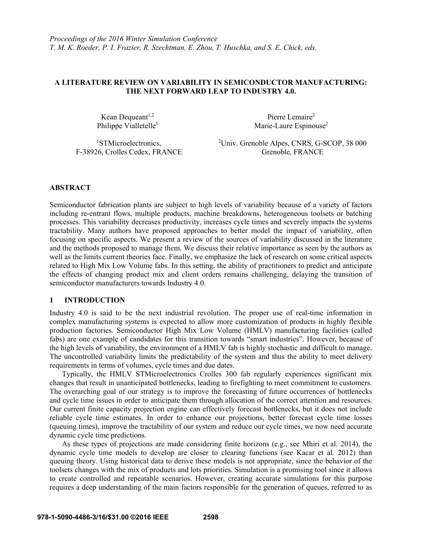# **A LITERATURE REVIEW ON VARIABILITY IN SEMICONDUCTOR MANUFACTURING: THE NEXT FORWARD LEAP TO INDUSTRY 4.0.**

Kean Dequeant<sup>1,2</sup> Philippe Vialletelle<sup>1</sup>

Pierre Lemaire<sup>2</sup> Marie-Laure Espinouse<sup>2</sup>

1 STMicroelectronics, F-38926, Crolles Cedex, FRANCE 2 Univ. Grenoble Alpes, CNRS, G-SCOP, 38 000 Grenoble, FRANCE

# **ABSTRACT**

Semiconductor fabrication plants are subject to high levels of variability because of a variety of factors including re-entrant flows, multiple products, machine breakdowns, heterogeneous toolsets or batching processes. This variability decreases productivity, increases cycle times and severely impacts the systems tractability. Many authors have proposed approaches to better model the impact of variability, often focusing on specific aspects. We present a review of the sources of variability discussed in the literature and the methods proposed to manage them. We discuss their relative importance as seen by the authors as well as the limits current theories face. Finally, we emphasize the lack of research on some critical aspects related to High Mix Low Volume fabs. In this setting, the ability of practitioners to predict and anticipate the effects of changing product mix and client orders remains challenging, delaying the transition of semiconductor manufacturers towards Industry 4.0.

# **1 INTRODUCTION**

Industry 4.0 is said to be the next industrial revolution. The proper use of real-time information in complex manufacturing systems is expected to allow more customization of products in highly flexible production factories. Semiconductor High Mix Low Volume (HMLV) manufacturing facilities (called fabs) are one example of candidates for this transition towards "smart industries". However, because of the high levels of variability, the environment of a HMLV fab is highly stochastic and difficult to manage. The uncontrolled variability limits the predictability of the system and thus the ability to meet delivery requirements in terms of volumes, cycle times and due dates.

Typically, the HMLV STMicroelectronics Crolles 300 fab regularly experiences significant mix changes that result in unanticipated bottlenecks, leading to firefighting to meet commitment to customers. The overarching goal of our strategy is to improve the forecasting of future occurrences of bottlenecks and cycle time issues in order to anticipate them through allocation of the correct attention and resources. Our current finite capacity projection engine can effectively forecast bottlenecks, but it does not include reliable cycle time estimates. In order to enhance our projections, better forecast cycle time losses (queuing times), improve the tractability of our system and reduce our cycle times, we now need accurate dynamic cycle time predictions.

As these types of projections are made considering finite horizons (e.g., see Mhiri et al. 2014), the dynamic cycle time models to develop are closer to clearing functions (see Kacar et al. 2012) than queuing theory. Using historical data to derive these models is not appropriate, since the behavior of the toolsets changes with the mix of products and lots priorities. Simulation is a promising tool since it allows to create controlled and repeatable scenarios. However, creating accurate simulations for this purpose requires a deep understanding of the main factors responsible for the generation of queues, referred to as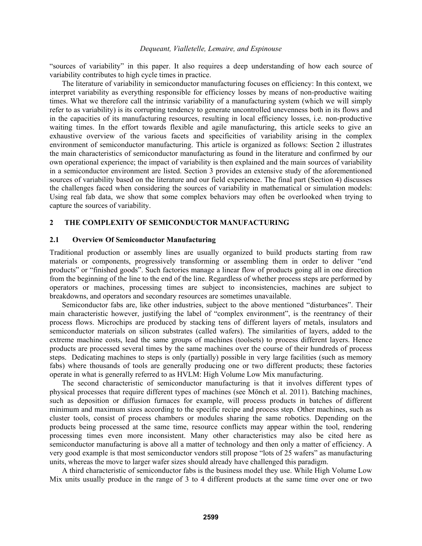"sources of variability" in this paper. It also requires a deep understanding of how each source of variability contributes to high cycle times in practice.

The literature of variability in semiconductor manufacturing focuses on efficiency: In this context, we interpret variability as everything responsible for efficiency losses by means of non-productive waiting times. What we therefore call the intrinsic variability of a manufacturing system (which we will simply refer to as variability) is its corrupting tendency to generate uncontrolled unevenness both in its flows and in the capacities of its manufacturing resources, resulting in local efficiency losses, i.e. non-productive waiting times. In the effort towards flexible and agile manufacturing, this article seeks to give an exhaustive overview of the various facets and specificities of variability arising in the complex environment of semiconductor manufacturing. This article is organized as follows: Section 2 illustrates the main characteristics of semiconductor manufacturing as found in the literature and confirmed by our own operational experience; the impact of variability is then explained and the main sources of variability in a semiconductor environment are listed. Section 3 provides an extensive study of the aforementioned sources of variability based on the literature and our field experience. The final part (Section 4) discusses the challenges faced when considering the sources of variability in mathematical or simulation models: Using real fab data, we show that some complex behaviors may often be overlooked when trying to capture the sources of variability.

## **2 THE COMPLEXITY OF SEMICONDUCTOR MANUFACTURING**

## **2.1 Overview Of Semiconductor Manufacturing**

Traditional production or assembly lines are usually organized to build products starting from raw materials or components, progressively transforming or assembling them in order to deliver "end products" or "finished goods". Such factories manage a linear flow of products going all in one direction from the beginning of the line to the end of the line. Regardless of whether process steps are performed by operators or machines, processing times are subject to inconsistencies, machines are subject to breakdowns, and operators and secondary resources are sometimes unavailable.

Semiconductor fabs are, like other industries, subject to the above mentioned "disturbances". Their main characteristic however, justifying the label of "complex environment", is the reentrancy of their process flows. Microchips are produced by stacking tens of different layers of metals, insulators and semiconductor materials on silicon substrates (called wafers). The similarities of layers, added to the extreme machine costs, lead the same groups of machines (toolsets) to process different layers. Hence products are processed several times by the same machines over the course of their hundreds of process steps. Dedicating machines to steps is only (partially) possible in very large facilities (such as memory fabs) where thousands of tools are generally producing one or two different products; these factories operate in what is generally referred to as HVLM: High Volume Low Mix manufacturing.

The second characteristic of semiconductor manufacturing is that it involves different types of physical processes that require different types of machines (see Mönch et al. 2011). Batching machines, such as deposition or diffusion furnaces for example, will process products in batches of different minimum and maximum sizes according to the specific recipe and process step. Other machines, such as cluster tools, consist of process chambers or modules sharing the same robotics. Depending on the products being processed at the same time, resource conflicts may appear within the tool, rendering processing times even more inconsistent. Many other characteristics may also be cited here as semiconductor manufacturing is above all a matter of technology and then only a matter of efficiency. A very good example is that most semiconductor vendors still propose "lots of 25 wafers" as manufacturing units, whereas the move to larger wafer sizes should already have challenged this paradigm.

A third characteristic of semiconductor fabs is the business model they use. While High Volume Low Mix units usually produce in the range of 3 to 4 different products at the same time over one or two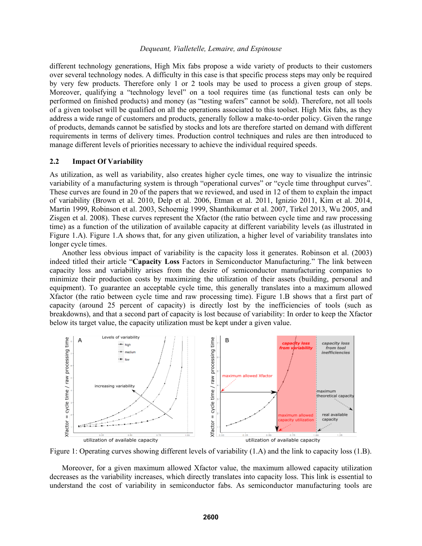different technology generations, High Mix fabs propose a wide variety of products to their customers over several technology nodes. A difficulty in this case is that specific process steps may only be required by very few products. Therefore only 1 or 2 tools may be used to process a given group of steps. Moreover, qualifying a "technology level" on a tool requires time (as functional tests can only be performed on finished products) and money (as "testing wafers" cannot be sold). Therefore, not all tools of a given toolset will be qualified on all the operations associated to this toolset. High Mix fabs, as they address a wide range of customers and products, generally follow a make-to-order policy. Given the range of products, demands cannot be satisfied by stocks and lots are therefore started on demand with different requirements in terms of delivery times. Production control techniques and rules are then introduced to manage different levels of priorities necessary to achieve the individual required speeds.

### **2.2 Impact Of Variability**

As utilization, as well as variability, also creates higher cycle times, one way to visualize the intrinsic variability of a manufacturing system is through "operational curves" or "cycle time throughput curves". These curves are found in 20 of the papers that we reviewed, and used in 12 of them to explain the impact of variability (Brown et al. 2010, Delp et al. 2006, Etman et al. 2011, Ignizio 2011, Kim et al. 2014, Martin 1999, Robinson et al. 2003, Schoemig 1999, Shanthikumar et al. 2007, Tirkel 2013, Wu 2005, and Zisgen et al. 2008). These curves represent the Xfactor (the ratio between cycle time and raw processing time) as a function of the utilization of available capacity at different variability levels (as illustrated in Figure 1.A). Figure 1.A shows that, for any given utilization, a higher level of variability translates into longer cycle times.

Another less obvious impact of variability is the capacity loss it generates. Robinson et al. (2003) indeed titled their article "**Capacity Loss** Factors in Semiconductor Manufacturing." The link between capacity loss and variability arises from the desire of semiconductor manufacturing companies to minimize their production costs by maximizing the utilization of their assets (building, personal and equipment). To guarantee an acceptable cycle time, this generally translates into a maximum allowed Xfactor (the ratio between cycle time and raw processing time). Figure 1.B shows that a first part of capacity (around 25 percent of capacity) is directly lost by the inefficiencies of tools (such as breakdowns), and that a second part of capacity is lost because of variability: In order to keep the Xfactor below its target value, the capacity utilization must be kept under a given value.



Figure 1: Operating curves showing different levels of variability (1.A) and the link to capacity loss (1.B).

Moreover, for a given maximum allowed Xfactor value, the maximum allowed capacity utilization decreases as the variability increases, which directly translates into capacity loss. This link is essential to understand the cost of variability in semiconductor fabs. As semiconductor manufacturing tools are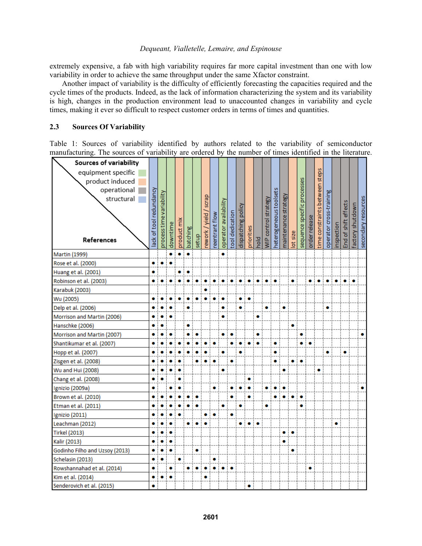extremely expensive, a fab with high variability requires far more capital investment than one with low variability in order to achieve the same throughput under the same Xfactor constraint.

Another impact of variability is the difficulty of efficiently forecasting the capacities required and the cycle times of the products. Indeed, as the lack of information characterizing the system and its variability is high, changes in the production environment lead to unaccounted changes in variability and cycle times, making it ever so difficult to respect customer orders in terms of times and quantities.

## **2.3 Sources Of Variability**

Table 1: Sources of variability identified by authors related to the variability of semiconductor manufacturing. The sources of variability are ordered by the number of times identified in the literature.

| Sources of variability         |                        |                          |          |             |           |       |                |                |                       |                 |                    |            |      |                      |                       |                      |           |                             |               |                                |                         |            |                      |                 |                     |
|--------------------------------|------------------------|--------------------------|----------|-------------|-----------|-------|----------------|----------------|-----------------------|-----------------|--------------------|------------|------|----------------------|-----------------------|----------------------|-----------|-----------------------------|---------------|--------------------------------|-------------------------|------------|----------------------|-----------------|---------------------|
| equipment specific             |                        |                          |          |             |           |       |                |                |                       |                 |                    |            |      |                      |                       |                      |           |                             |               |                                |                         |            |                      |                 |                     |
| product induced                |                        |                          |          |             |           |       |                |                |                       |                 |                    |            |      |                      |                       |                      |           |                             |               |                                |                         |            |                      |                 |                     |
| operational                    |                        |                          |          |             |           |       |                |                |                       |                 |                    |            |      |                      |                       |                      |           |                             |               |                                |                         |            |                      |                 |                     |
| structural                     |                        |                          |          |             |           |       | scrap          |                |                       |                 |                    |            |      |                      |                       |                      |           |                             |               |                                |                         |            |                      |                 |                     |
|                                |                        |                          |          |             |           |       |                |                |                       |                 |                    |            |      |                      |                       |                      |           |                             |               |                                |                         |            |                      |                 |                     |
|                                |                        |                          |          |             |           |       |                |                |                       |                 |                    |            |      |                      |                       |                      |           |                             |               |                                |                         |            |                      |                 |                     |
|                                |                        |                          |          |             |           |       |                |                |                       |                 |                    |            |      |                      |                       |                      |           |                             |               |                                |                         |            |                      |                 |                     |
|                                |                        |                          |          |             |           |       |                |                |                       |                 |                    |            |      |                      |                       |                      |           |                             |               |                                |                         |            |                      |                 |                     |
| References                     | ack of tool redundancy | process time variability | downtime | product mix | batching  | setup | rework / yield | reentrant flow | operator availability | tool dedication | dispatching policy | priorities | hold | WIP control strategy | heterogeneoustoolsets | maintenance strategy | lot size  | sequence specific processes | order release | time constraints between steps | operator cross-training | inspection | End of shift effects | actory shutdown | secondary resources |
| Martin (1999)                  |                        |                          |          |             | $\bullet$ |       |                |                | ۰                     |                 |                    |            |      |                      |                       |                      |           |                             |               |                                |                         |            |                      |                 |                     |
| Rose et al. (2000)             |                        |                          | ۰        |             |           |       |                |                |                       |                 |                    |            |      |                      |                       |                      |           |                             |               |                                |                         |            |                      |                 |                     |
| Huang et al. (2001)            |                        |                          |          |             |           |       |                |                |                       |                 |                    |            |      |                      |                       |                      |           |                             |               |                                |                         |            |                      |                 |                     |
| Robinson et al. (2003)         |                        |                          |          |             |           |       |                |                |                       |                 |                    |            |      |                      |                       |                      |           |                             |               |                                |                         |            |                      |                 |                     |
| Karabuk (2003)                 |                        |                          |          |             |           |       |                |                |                       |                 |                    |            |      |                      |                       |                      |           |                             |               |                                |                         |            |                      |                 |                     |
| Wu (2005)                      |                        |                          |          |             |           |       |                |                |                       |                 |                    |            |      |                      |                       |                      |           |                             |               |                                |                         |            |                      |                 |                     |
| Delp et al. (2006)             |                        |                          |          |             | ۰         |       |                |                |                       |                 |                    |            |      | ۰                    |                       | ۰                    |           |                             |               |                                |                         |            |                      |                 |                     |
| Morrison and Martin (2006)     |                        |                          |          |             |           |       |                |                | ۰                     |                 |                    |            | ٥    |                      |                       |                      |           |                             |               |                                |                         |            |                      |                 |                     |
| Hanschke (2006)                |                        |                          |          |             |           |       |                |                |                       |                 |                    |            |      |                      |                       |                      | ۰         |                             |               |                                |                         |            |                      |                 |                     |
| Morrison and Martin (2007)     |                        |                          |          |             |           |       |                |                |                       |                 |                    |            |      |                      |                       |                      |           |                             |               |                                |                         |            |                      |                 |                     |
| Shantikumar et al. (2007)      |                        |                          |          |             |           |       |                |                |                       |                 |                    |            |      |                      |                       |                      |           |                             |               |                                |                         |            |                      |                 |                     |
| Hopp et al. (2007)             |                        |                          |          |             |           |       |                |                |                       |                 |                    |            |      |                      |                       |                      |           |                             |               |                                |                         |            | ۰                    |                 |                     |
| Zisgen et al. (2008)           |                        |                          |          |             |           |       |                |                |                       |                 |                    |            |      |                      |                       |                      | ۰         |                             |               |                                |                         |            |                      |                 |                     |
| Wu and Hui (2008)              |                        |                          |          |             |           |       |                |                |                       |                 |                    |            |      |                      |                       |                      |           |                             |               |                                |                         |            |                      |                 |                     |
| Chang et al. (2008)            |                        |                          |          |             |           |       |                |                |                       |                 |                    |            |      |                      |                       |                      |           |                             |               |                                |                         |            |                      |                 |                     |
| Ignizio (2009a)                |                        |                          |          |             |           |       |                | ۰              |                       |                 |                    |            |      |                      |                       |                      |           |                             |               |                                |                         |            |                      |                 |                     |
| Brown et al. (2010)            |                        |                          |          |             |           |       |                |                |                       |                 |                    |            |      |                      |                       |                      |           | ۰                           |               |                                |                         |            |                      |                 |                     |
| Etman et al. (2011)            |                        |                          |          |             |           |       |                |                |                       |                 |                    |            |      |                      |                       |                      |           | ۰                           |               |                                |                         |            |                      |                 |                     |
| Ignizio (2011)                 |                        |                          |          |             |           |       |                |                |                       |                 |                    |            |      |                      |                       |                      |           |                             |               |                                |                         |            |                      |                 |                     |
| Leachman (2012)                |                        |                          |          |             |           |       |                |                |                       |                 |                    |            |      |                      |                       |                      |           |                             |               |                                |                         |            |                      |                 |                     |
| <b>Tirkel (2013)</b>           |                        |                          |          |             |           |       |                |                |                       |                 |                    |            |      |                      |                       | $\bullet$            | $\bullet$ |                             |               |                                |                         |            |                      |                 |                     |
| Kalir (2013)                   |                        |                          |          |             |           |       |                |                |                       |                 |                    |            |      |                      |                       |                      |           |                             |               |                                |                         |            |                      |                 |                     |
| Godinho Filho and Uzsoy (2013) |                        |                          |          |             |           | ۰     |                |                |                       |                 |                    |            |      |                      |                       |                      | ۰         |                             |               |                                |                         |            |                      |                 |                     |
| Schelasin (2013)               |                        |                          |          |             |           |       |                | ۰              |                       |                 |                    |            |      |                      |                       |                      |           |                             |               |                                |                         |            |                      |                 |                     |
| Rowshannahad et al. (2014)     | ۰                      |                          |          |             |           |       |                | $\bullet$      | $\bullet$             | $\bullet$       |                    |            |      |                      |                       |                      |           |                             |               |                                |                         |            |                      |                 |                     |
| Kim et al. (2014)              | ۰                      |                          |          |             |           |       |                |                |                       |                 |                    |            |      |                      |                       |                      |           |                             |               |                                |                         |            |                      |                 |                     |
| Senderovich et al. (2015)      | ۰                      |                          |          |             |           |       |                |                |                       |                 |                    |            |      |                      |                       |                      |           |                             |               |                                |                         |            |                      |                 |                     |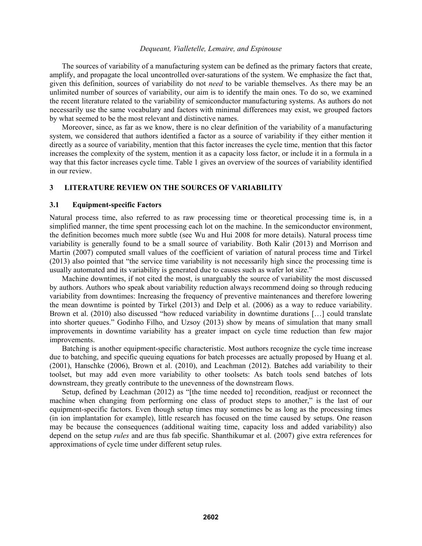The sources of variability of a manufacturing system can be defined as the primary factors that create, amplify, and propagate the local uncontrolled over-saturations of the system. We emphasize the fact that, given this definition, sources of variability do not *need* to be variable themselves. As there may be an unlimited number of sources of variability, our aim is to identify the main ones. To do so, we examined the recent literature related to the variability of semiconductor manufacturing systems. As authors do not necessarily use the same vocabulary and factors with minimal differences may exist, we grouped factors by what seemed to be the most relevant and distinctive names.

Moreover, since, as far as we know, there is no clear definition of the variability of a manufacturing system, we considered that authors identified a factor as a source of variability if they either mention it directly as a source of variability, mention that this factor increases the cycle time, mention that this factor increases the complexity of the system, mention it as a capacity loss factor, or include it in a formula in a way that this factor increases cycle time. Table 1 gives an overview of the sources of variability identified in our review.

## **3 LITERATURE REVIEW ON THE SOURCES OF VARIABILITY**

### **3.1 Equipment-specific Factors**

Natural process time, also referred to as raw processing time or theoretical processing time is, in a simplified manner, the time spent processing each lot on the machine. In the semiconductor environment, the definition becomes much more subtle (see Wu and Hui 2008 for more details). Natural process time variability is generally found to be a small source of variability. Both Kalir (2013) and Morrison and Martin (2007) computed small values of the coefficient of variation of natural process time and Tirkel (2013) also pointed that "the service time variability is not necessarily high since the processing time is usually automated and its variability is generated due to causes such as wafer lot size."

Machine downtimes, if not cited the most, is unarguably the source of variability the most discussed by authors. Authors who speak about variability reduction always recommend doing so through reducing variability from downtimes: Increasing the frequency of preventive maintenances and therefore lowering the mean downtime is pointed by Tirkel (2013) and Delp et al. (2006) as a way to reduce variability. Brown et al. (2010) also discussed "how reduced variability in downtime durations […] could translate into shorter queues." Godinho Filho, and Uzsoy (2013) show by means of simulation that many small improvements in downtime variability has a greater impact on cycle time reduction than few major improvements.

Batching is another equipment-specific characteristic. Most authors recognize the cycle time increase due to batching, and specific queuing equations for batch processes are actually proposed by Huang et al. (2001), Hanschke (2006), Brown et al. (2010), and Leachman (2012). Batches add variability to their toolset, but may add even more variability to other toolsets: As batch tools send batches of lots downstream, they greatly contribute to the unevenness of the downstream flows.

Setup, defined by Leachman (2012) as "[the time needed to] recondition, readjust or reconnect the machine when changing from performing one class of product steps to another," is the last of our equipment-specific factors. Even though setup times may sometimes be as long as the processing times (in ion implantation for example), little research has focused on the time caused by setups. One reason may be because the consequences (additional waiting time, capacity loss and added variability) also depend on the setup *rules* and are thus fab specific. Shanthikumar et al. (2007) give extra references for approximations of cycle time under different setup rules.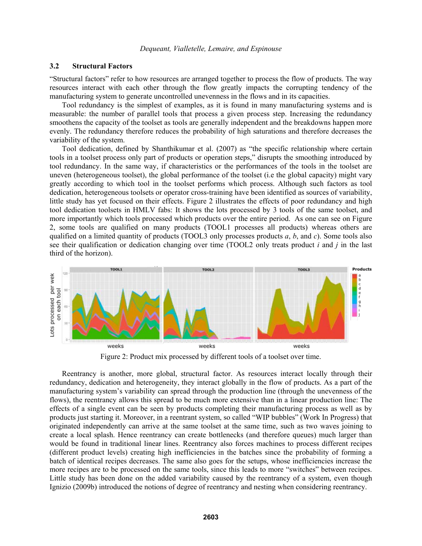## **3.2 Structural Factors**

"Structural factors" refer to how resources are arranged together to process the flow of products. The way resources interact with each other through the flow greatly impacts the corrupting tendency of the manufacturing system to generate uncontrolled unevenness in the flows and in its capacities.

Tool redundancy is the simplest of examples, as it is found in many manufacturing systems and is measurable: the number of parallel tools that process a given process step. Increasing the redundancy smoothens the capacity of the toolset as tools are generally independent and the breakdowns happen more evenly. The redundancy therefore reduces the probability of high saturations and therefore decreases the variability of the system.

Tool dedication, defined by Shanthikumar et al. (2007) as "the specific relationship where certain tools in a toolset process only part of products or operation steps," disrupts the smoothing introduced by tool redundancy. In the same way, if characteristics or the performances of the tools in the toolset are uneven (heterogeneous toolset), the global performance of the toolset (i.e the global capacity) might vary greatly according to which tool in the toolset performs which process. Although such factors as tool dedication, heterogeneous toolsets or operator cross-training have been identified as sources of variability, little study has yet focused on their effects. Figure 2 illustrates the effects of poor redundancy and high tool dedication toolsets in HMLV fabs: It shows the lots processed by 3 tools of the same toolset, and more importantly which tools processed which products over the entire period. As one can see on Figure 2, some tools are qualified on many products (TOOL1 processes all products) whereas others are qualified on a limited quantity of products (TOOL3 only processes products *a*, *b*, and *c*). Some tools also see their qualification or dedication changing over time (TOOL2 only treats product *i* and *j* in the last third of the horizon).



Figure 2: Product mix processed by different tools of a toolset over time.

Reentrancy is another, more global, structural factor. As resources interact locally through their redundancy, dedication and heterogeneity, they interact globally in the flow of products. As a part of the manufacturing system's variability can spread through the production line (through the unevenness of the flows), the reentrancy allows this spread to be much more extensive than in a linear production line: The effects of a single event can be seen by products completing their manufacturing process as well as by products just starting it. Moreover, in a reentrant system, so called "WIP bubbles" (Work In Progress) that originated independently can arrive at the same toolset at the same time, such as two waves joining to create a local splash. Hence reentrancy can create bottlenecks (and therefore queues) much larger than would be found in traditional linear lines. Reentrancy also forces machines to process different recipes (different product levels) creating high inefficiencies in the batches since the probability of forming a batch of identical recipes decreases. The same also goes for the setups, whose inefficiencies increase the more recipes are to be processed on the same tools, since this leads to more "switches" between recipes. Little study has been done on the added variability caused by the reentrancy of a system, even though Ignizio (2009b) introduced the notions of degree of reentrancy and nesting when considering reentrancy.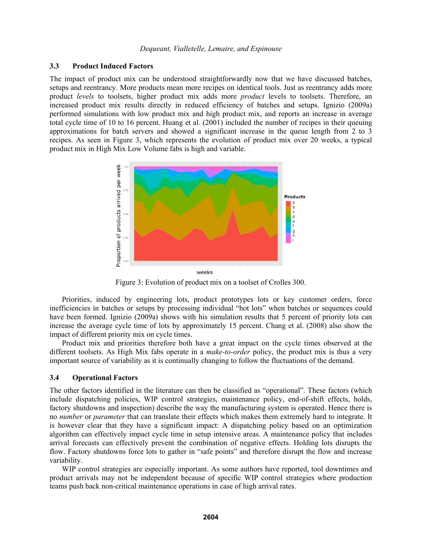## **3.3 Product Induced Factors**

The impact of product mix can be understood straightforwardly now that we have discussed batches, setups and reentrancy. More products mean more recipes on identical tools. Just as reentrancy adds more product *levels* to toolsets, higher product mix adds more *product* levels to toolsets. Therefore, an increased product mix results directly in reduced efficiency of batches and setups. Ignizio (2009a) performed simulations with low product mix and high product mix, and reports an increase in average total cycle time of 10 to 16 percent. Huang et al. (2001) included the number of recipes in their queuing approximations for batch servers and showed a significant increase in the queue length from 2 to 3 recipes. As seen in Figure 3, which represents the evolution of product mix over 20 weeks, a typical product mix in High Mix Low Volume fabs is high and variable.



Figure 3: Evolution of product mix on a toolset of Crolles 300.

Priorities, induced by engineering lots, product prototypes lots or key customer orders, force inefficiencies in batches or setups by processing individual "hot lots" when batches or sequences could have been formed. Ignizio (2009a) shows with his simulation results that 5 percent of priority lots can increase the average cycle time of lots by approximately 15 percent. Chang et al. (2008) also show the impact of different priority mix on cycle times.

Product mix and priorities therefore both have a great impact on the cycle times observed at the different toolsets. As High Mix fabs operate in a *make-to-order* policy, the product mix is thus a very important source of variability as it is continually changing to follow the fluctuations of the demand.

## **3.4 Operational Factors**

The other factors identified in the literature can then be classified as "operational". These factors (which include dispatching policies, WIP control strategies, maintenance policy, end-of-shift effects, holds, factory shutdowns and inspection) describe the way the manufacturing system is operated. Hence there is no *number* or *parameter* that can translate their effects which makes them extremely hard to integrate. It is however clear that they have a significant impact: A dispatching policy based on an optimization algorithm can effectively impact cycle time in setup intensive areas. A maintenance policy that includes arrival forecasts can effectively prevent the combination of negative effects. Holding lots disrupts the flow. Factory shutdowns force lots to gather in "safe points" and therefore disrupt the flow and increase variability.

WIP control strategies are especially important. As some authors have reported, tool downtimes and product arrivals may not be independent because of specific WIP control strategies where production teams push back non-critical maintenance operations in case of high arrival rates.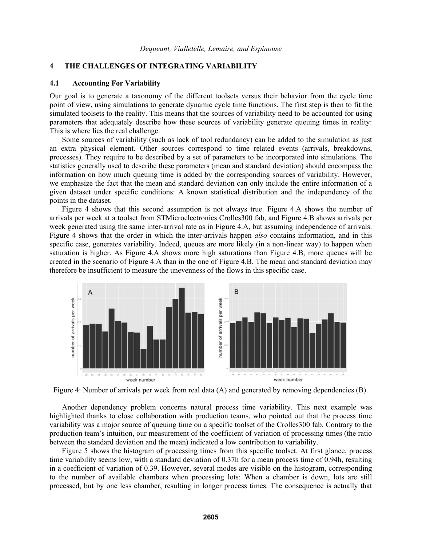# **4 THE CHALLENGES OF INTEGRATING VARIABILITY**

### **4.1 Accounting For Variability**

Our goal is to generate a taxonomy of the different toolsets versus their behavior from the cycle time point of view, using simulations to generate dynamic cycle time functions. The first step is then to fit the simulated toolsets to the reality. This means that the sources of variability need to be accounted for using parameters that adequately describe how these sources of variability generate queuing times in reality: This is where lies the real challenge.

Some sources of variability (such as lack of tool redundancy) can be added to the simulation as just an extra physical element. Other sources correspond to time related events (arrivals, breakdowns, processes). They require to be described by a set of parameters to be incorporated into simulations. The statistics generally used to describe these parameters (mean and standard deviation) should encompass the information on how much queuing time is added by the corresponding sources of variability. However, we emphasize the fact that the mean and standard deviation can only include the entire information of a given dataset under specific conditions: A known statistical distribution and the independency of the points in the dataset.

Figure 4 shows that this second assumption is not always true. Figure 4.A shows the number of arrivals per week at a toolset from STMicroelectronics Crolles300 fab, and Figure 4.B shows arrivals per week generated using the same inter-arrival rate as in Figure 4.A, but assuming independence of arrivals. Figure 4 shows that the order in which the inter-arrivals happen *also* contains information, and in this specific case, generates variability. Indeed, queues are more likely (in a non-linear way) to happen when saturation is higher. As Figure 4.A shows more high saturations than Figure 4.B, more queues will be created in the scenario of Figure 4.A than in the one of Figure 4.B. The mean and standard deviation may therefore be insufficient to measure the unevenness of the flows in this specific case.



Figure 4: Number of arrivals per week from real data (A) and generated by removing dependencies (B).

Another dependency problem concerns natural process time variability. This next example was highlighted thanks to close collaboration with production teams, who pointed out that the process time variability was a major source of queuing time on a specific toolset of the Crolles300 fab. Contrary to the production team's intuition, our measurement of the coefficient of variation of processing times (the ratio between the standard deviation and the mean) indicated a low contribution to variability.

Figure 5 shows the histogram of processing times from this specific toolset. At first glance, process time variability seems low, with a standard deviation of 0.37h for a mean process time of 0.94h, resulting in a coefficient of variation of 0.39. However, several modes are visible on the histogram, corresponding to the number of available chambers when processing lots: When a chamber is down, lots are still processed, but by one less chamber, resulting in longer process times. The consequence is actually that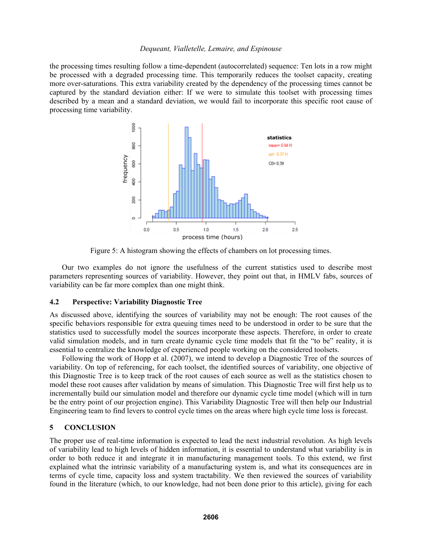the processing times resulting follow a time-dependent (autocorrelated) sequence: Ten lots in a row might be processed with a degraded processing time. This temporarily reduces the toolset capacity, creating more over-saturations. This extra variability created by the dependency of the processing times cannot be captured by the standard deviation either: If we were to simulate this toolset with processing times described by a mean and a standard deviation, we would fail to incorporate this specific root cause of processing time variability.



Figure 5: A histogram showing the effects of chambers on lot processing times.

Our two examples do not ignore the usefulness of the current statistics used to describe most parameters representing sources of variability. However, they point out that, in HMLV fabs, sources of variability can be far more complex than one might think.

## **4.2 Perspective: Variability Diagnostic Tree**

As discussed above, identifying the sources of variability may not be enough: The root causes of the specific behaviors responsible for extra queuing times need to be understood in order to be sure that the statistics used to successfully model the sources incorporate these aspects. Therefore, in order to create valid simulation models, and in turn create dynamic cycle time models that fit the "to be" reality, it is essential to centralize the knowledge of experienced people working on the considered toolsets.

Following the work of Hopp et al. (2007), we intend to develop a Diagnostic Tree of the sources of variability. On top of referencing, for each toolset, the identified sources of variability, one objective of this Diagnostic Tree is to keep track of the root causes of each source as well as the statistics chosen to model these root causes after validation by means of simulation. This Diagnostic Tree will first help us to incrementally build our simulation model and therefore our dynamic cycle time model (which will in turn be the entry point of our projection engine). This Variability Diagnostic Tree will then help our Industrial Engineering team to find levers to control cycle times on the areas where high cycle time loss is forecast.

### **5 CONCLUSION**

The proper use of real-time information is expected to lead the next industrial revolution. As high levels of variability lead to high levels of hidden information, it is essential to understand what variability is in order to both reduce it and integrate it in manufacturing management tools. To this extend, we first explained what the intrinsic variability of a manufacturing system is, and what its consequences are in terms of cycle time, capacity loss and system tractability. We then reviewed the sources of variability found in the literature (which, to our knowledge, had not been done prior to this article), giving for each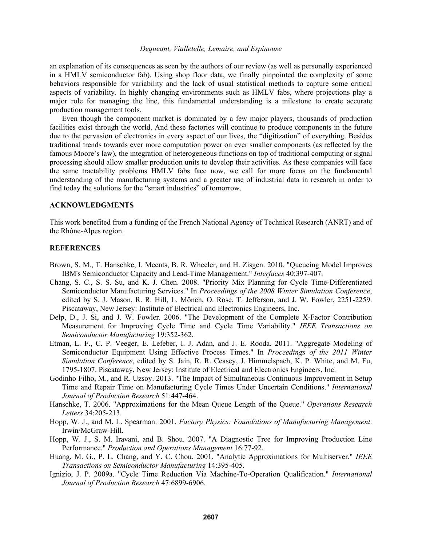an explanation of its consequences as seen by the authors of our review (as well as personally experienced in a HMLV semiconductor fab). Using shop floor data, we finally pinpointed the complexity of some behaviors responsible for variability and the lack of usual statistical methods to capture some critical aspects of variability. In highly changing environments such as HMLV fabs, where projections play a major role for managing the line, this fundamental understanding is a milestone to create accurate production management tools.

Even though the component market is dominated by a few major players, thousands of production facilities exist through the world. And these factories will continue to produce components in the future due to the pervasion of electronics in every aspect of our lives, the "digitization" of everything. Besides traditional trends towards ever more computation power on ever smaller components (as reflected by the famous Moore's law), the integration of heterogeneous functions on top of traditional computing or signal processing should allow smaller production units to develop their activities. As these companies will face the same tractability problems HMLV fabs face now, we call for more focus on the fundamental understanding of the manufacturing systems and a greater use of industrial data in research in order to find today the solutions for the "smart industries" of tomorrow.

### **ACKNOWLEDGMENTS**

This work benefited from a funding of the French National Agency of Technical Research (ANRT) and of the Rhône-Alpes region.

### **REFERENCES**

- Brown, S. M., T. Hanschke, I. Meents, B. R. Wheeler, and H. Zisgen. 2010. "Queueing Model Improves IBM's Semiconductor Capacity and Lead-Time Management." *Interfaces* 40:397-407.
- Chang, S. C., S. S. Su, and K. J. Chen. 2008. "Priority Mix Planning for Cycle Time-Differentiated Semiconductor Manufacturing Services." In *Proceedings of the 2008 Winter Simulation Conference*, edited by S. J. Mason, R. R. Hill, L. Mönch, O. Rose, T. Jefferson, and J. W. Fowler, 2251-2259. Piscataway, New Jersey: Institute of Electrical and Electronics Engineers, Inc.
- Delp, D., J. Si, and J. W. Fowler. 2006. "The Development of the Complete X-Factor Contribution Measurement for Improving Cycle Time and Cycle Time Variability." *IEEE Transactions on Semiconductor Manufacturing* 19:352-362.
- Etman, L. F., C. P. Veeger, E. Lefeber, I. J. Adan, and J. E. Rooda. 2011. "Aggregate Modeling of Semiconductor Equipment Using Effective Process Times." In *Proceedings of the 2011 Winter Simulation Conference*, edited by S. Jain, R. R. Ceasey, J. Himmelspach, K. P. White, and M. Fu, 1795-1807. Piscataway, New Jersey: Institute of Electrical and Electronics Engineers, Inc.
- Godinho Filho, M., and R. Uzsoy. 2013. "The Impact of Simultaneous Continuous Improvement in Setup Time and Repair Time on Manufacturing Cycle Times Under Uncertain Conditions." *International Journal of Production Research* 51:447-464.
- Hanschke, T. 2006. "Approximations for the Mean Queue Length of the Queue." *Operations Research Letters* 34:205-213.
- Hopp, W. J., and M. L. Spearman. 2001. *Factory Physics: Foundations of Manufacturing Management*. Irwin/McGraw-Hill.
- Hopp, W. J., S. M. Iravani, and B. Shou. 2007. "A Diagnostic Tree for Improving Production Line Performance." *Production and Operations Management* 16:77-92.
- Huang, M. G., P. L. Chang, and Y. C. Chou. 2001. "Analytic Approximations for Multiserver." *IEEE Transactions on Semiconductor Manufacturing* 14:395-405.
- Ignizio, J. P. 2009a. "Cycle Time Reduction Via Machine-To-Operation Qualification." *International Journal of Production Research* 47:6899-6906.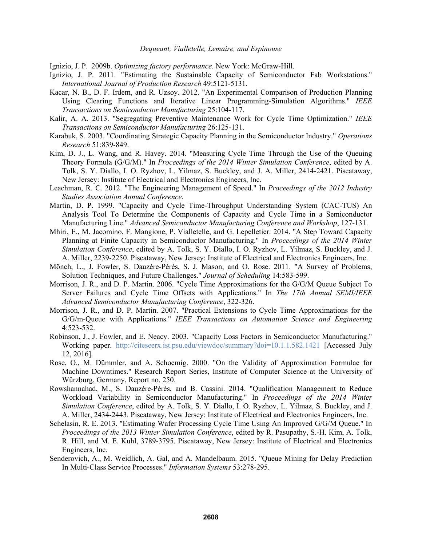Ignizio, J. P. 2009b. *Optimizing factory performance*. New York: McGraw-Hill.

- Ignizio, J. P. 2011. "Estimating the Sustainable Capacity of Semiconductor Fab Workstations." *International Journal of Production Research* 49:5121-5131.
- Kacar, N. B., D. F. Irdem, and R. Uzsoy. 2012. "An Experimental Comparison of Production Planning Using Clearing Functions and Iterative Linear Programming-Simulation Algorithms." *IEEE Transactions on Semiconductor Manufacturing* 25:104-117.
- Kalir, A. A. 2013. "Segregating Preventive Maintenance Work for Cycle Time Optimization." *IEEE Transactions on Semiconductor Manufacturing* 26:125-131.
- Karabuk, S. 2003. "Coordinating Strategic Capacity Planning in the Semiconductor Industry." *Operations Research* 51:839-849.
- Kim, D. J., L. Wang, and R. Havey. 2014. "Measuring Cycle Time Through the Use of the Queuing Theory Formula (G/G/M)." In *Proceedings of the 2014 Winter Simulation Conference*, edited by A. Tolk, S. Y. Diallo, I. O. Ryzhov, L. Yilmaz, S. Buckley, and J. A. Miller, 2414-2421. Piscataway, New Jersey: Institute of Electrical and Electronics Engineers, Inc.
- Leachman, R. C. 2012. "The Engineering Management of Speed." In *Proceedings of the 2012 Industry Studies Association Annual Conference*.
- Martin, D. P. 1999. "Capacity and Cycle Time-Throughput Understanding System (CAC-TUS) An Analysis Tool To Determine the Components of Capacity and Cycle Time in a Semiconductor Manufacturing Line." *Advanced Semiconductor Manufacturing Conference and Workshop*, 127-131.
- Mhiri, E., M. Jacomino, F. Mangione, P. Vialletelle, and G. Lepelletier. 2014. "A Step Toward Capacity Planning at Finite Capacity in Semiconductor Manufacturing." In *Proceedings of the 2014 Winter Simulation Conference*, edited by A. Tolk, S. Y. Diallo, I. O. Ryzhov, L. Yilmaz, S. Buckley, and J. A. Miller, 2239-2250. Piscataway, New Jersey: Institute of Electrical and Electronics Engineers, Inc.
- Mönch, L., J. Fowler, S. Dauzère-Pérès, S. J. Mason, and O. Rose. 2011. "A Survey of Problems, Solution Techniques, and Future Challenges." *Journal of Scheduling* 14:583-599.
- Morrison, J. R., and D. P. Martin. 2006. "Cycle Time Approximations for the G/G/M Queue Subject To Server Failures and Cycle Time Offsets with Applications." In *The 17th Annual SEMI/IEEE Advanced Semiconductor Manufacturing Conference*, 322-326.
- Morrison, J. R., and D. P. Martin. 2007. "Practical Extensions to Cycle Time Approximations for the G/G/m-Queue with Applications." *IEEE Transactions on Automation Science and Engineering* 4:523-532.
- Robinson, J., J. Fowler, and E. Neacy. 2003. "Capacity Loss Factors in Semiconductor Manufacturing." Working paper. http://citeseerx.ist.psu.edu/viewdoc/summary?doi=10.1.1.582.1421 [Accessed July 12, 2016].
- Rose, O., M. Dümmler, and A. Schoemig. 2000. "On the Validity of Approximation Formulae for Machine Downtimes." Research Report Series, Institute of Computer Science at the University of Würzburg, Germany, Report no. 250.
- Rowshannahad, M., S. Dauzère-Pérès, and B. Cassini. 2014. "Qualification Management to Reduce Workload Variability in Semiconductor Manufacturing." In *Proceedings of the 2014 Winter Simulation Conference*, edited by A. Tolk, S. Y. Diallo, I. O. Ryzhov, L. Yilmaz, S. Buckley, and J. A. Miller, 2434-2443. Piscataway, New Jersey: Institute of Electrical and Electronics Engineers, Inc.
- Schelasin, R. E. 2013. "Estimating Wafer Processing Cycle Time Using An Improved G/G/M Queue." In *Proceedings of the 2013 Winter Simulation Conference*, edited by R. Pasupathy, S.-H. Kim, A. Tolk, R. Hill, and M. E. Kuhl, 3789-3795. Piscataway, New Jersey: Institute of Electrical and Electronics Engineers, Inc.
- Senderovich, A., M. Weidlich, A. Gal, and A. Mandelbaum. 2015. "Queue Mining for Delay Prediction In Multi-Class Service Processes." *Information Systems* 53:278-295.